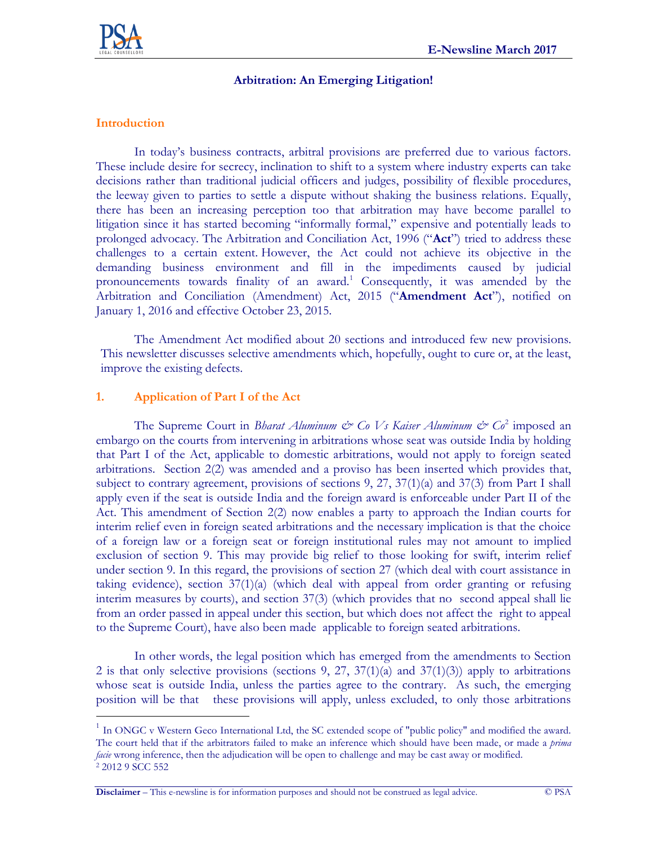

## **Arbitration: An Emerging Litigation!**

## **Introduction**

 $\overline{a}$ 

In today's business contracts, arbitral provisions are preferred due to various factors. These include desire for secrecy, inclination to shift to a system where industry experts can take decisions rather than traditional judicial officers and judges, possibility of flexible procedures, the leeway given to parties to settle a dispute without shaking the business relations. Equally, there has been an increasing perception too that arbitration may have become parallel to litigation since it has started becoming "informally formal," expensive and potentially leads to prolonged advocacy. The Arbitration and Conciliation Act, 1996 ("**Act**") tried to address these challenges to a certain extent. However, the Act could not achieve its objective in the demanding business environment and fill in the impediments caused by judicial pronouncements towards finality of an award.<sup>1</sup> Consequently, it was amended by the Arbitration and Conciliation (Amendment) Act, 2015 ("**Amendment Act**"), notified on January 1, 2016 and effective October 23, 2015.

The Amendment Act modified about 20 sections and introduced few new provisions. This newsletter discusses selective amendments which, hopefully, ought to cure or, at the least, improve the existing defects.

## **1. Application of Part I of the Act**

The Supreme Court in *Bharat Aluminum & Co Vs Kaiser Aluminum & Co*<sup>2</sup> imposed an embargo on the courts from intervening in arbitrations whose seat was outside India by holding that Part I of the Act, applicable to domestic arbitrations, would not apply to foreign seated arbitrations. Section 2(2) was amended and a proviso has been inserted which provides that, subject to contrary agreement, provisions of sections 9, 27, 37(1)(a) and 37(3) from Part I shall apply even if the seat is outside India and the foreign award is enforceable under Part II of the Act. This amendment of Section 2(2) now enables a party to approach the Indian courts for interim relief even in foreign seated arbitrations and the necessary implication is that the choice of a foreign law or a foreign seat or foreign institutional rules may not amount to implied exclusion of section 9. This may provide big relief to those looking for swift, interim relief under section 9. In this regard, the provisions of section 27 (which deal with court assistance in taking evidence), section  $37(1)(a)$  (which deal with appeal from order granting or refusing interim measures by courts), and section 37(3) (which provides that no second appeal shall lie from an order passed in appeal under this section, but which does not affect the right to appeal to the Supreme Court), have also been made applicable to foreign seated arbitrations.

In other words, the legal position which has emerged from the amendments to Section 2 is that only selective provisions (sections 9, 27,  $37(1)(a)$  and  $37(1)(3)$ ) apply to arbitrations whose seat is outside India, unless the parties agree to the contrary. As such, the emerging position will be that these provisions will apply, unless excluded, to only those arbitrations

**Disclaimer** – This e-newsline is for information purposes and should not be construed as legal advice. © PSA

<sup>&</sup>lt;sup>1</sup> In ONGC v Western Geco International Ltd, the SC extended scope of "public policy" and modified the award. The court held that if the arbitrators failed to make an inference which should have been made, or made a *prima facie* wrong inference, then the adjudication will be open to challenge and may be cast away or modified. <sup>2</sup> 2012 9 SCC 552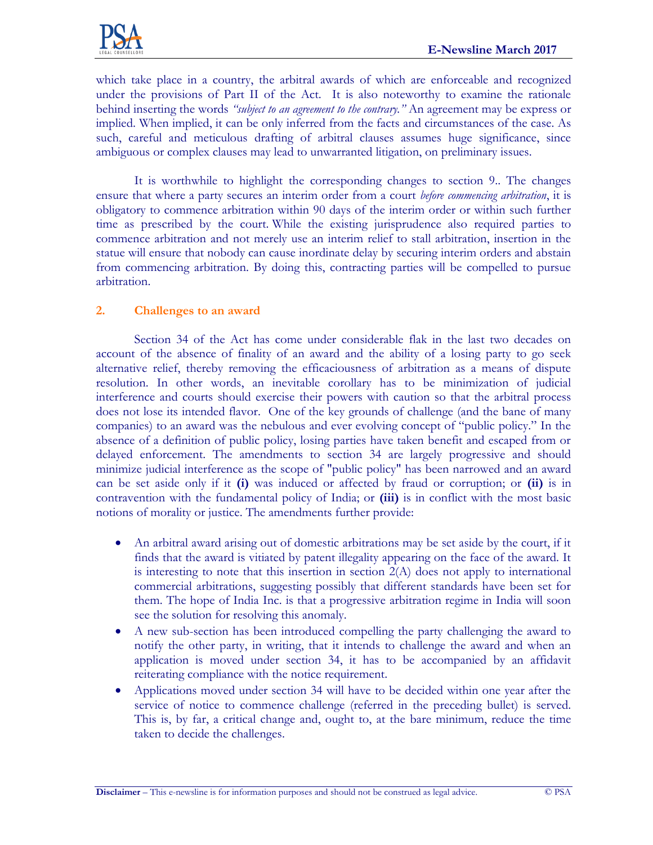which take place in a country, the arbitral awards of which are enforceable and recognized under the provisions of Part II of the Act. It is also noteworthy to examine the rationale behind inserting the words *"subject to an agreement to the contrary."* An agreement may be express or implied. When implied, it can be only inferred from the facts and circumstances of the case. As such, careful and meticulous drafting of arbitral clauses assumes huge significance, since ambiguous or complex clauses may lead to unwarranted litigation, on preliminary issues.

It is worthwhile to highlight the corresponding changes to section 9.. The changes ensure that where a party secures an interim order from a court *before commencing arbitration*, it is obligatory to commence arbitration within 90 days of the interim order or within such further time as prescribed by the court. While the existing jurisprudence also required parties to commence arbitration and not merely use an interim relief to stall arbitration, insertion in the statue will ensure that nobody can cause inordinate delay by securing interim orders and abstain from commencing arbitration. By doing this, contracting parties will be compelled to pursue arbitration.

## **2. Challenges to an award**

Section 34 of the Act has come under considerable flak in the last two decades on account of the absence of finality of an award and the ability of a losing party to go seek alternative relief, thereby removing the efficaciousness of arbitration as a means of dispute resolution. In other words, an inevitable corollary has to be minimization of judicial interference and courts should exercise their powers with caution so that the arbitral process does not lose its intended flavor. One of the key grounds of challenge (and the bane of many companies) to an award was the nebulous and ever evolving concept of "public policy." In the absence of a definition of public policy, losing parties have taken benefit and escaped from or delayed enforcement. The amendments to section 34 are largely progressive and should minimize judicial interference as the scope of "public policy" has been narrowed and an award can be set aside only if it **(i)** was induced or affected by fraud or corruption; or **(ii)** is in contravention with the fundamental policy of India; or **(iii)** is in conflict with the most basic notions of morality or justice. The amendments further provide:

- An arbitral award arising out of domestic arbitrations may be set aside by the court, if it finds that the award is vitiated by patent illegality appearing on the face of the award. It is interesting to note that this insertion in section  $2(A)$  does not apply to international commercial arbitrations, suggesting possibly that different standards have been set for them. The hope of India Inc. is that a progressive arbitration regime in India will soon see the solution for resolving this anomaly.
- A new sub-section has been introduced compelling the party challenging the award to notify the other party, in writing, that it intends to challenge the award and when an application is moved under section 34, it has to be accompanied by an affidavit reiterating compliance with the notice requirement.
- Applications moved under section 34 will have to be decided within one year after the service of notice to commence challenge (referred in the preceding bullet) is served. This is, by far, a critical change and, ought to, at the bare minimum, reduce the time taken to decide the challenges.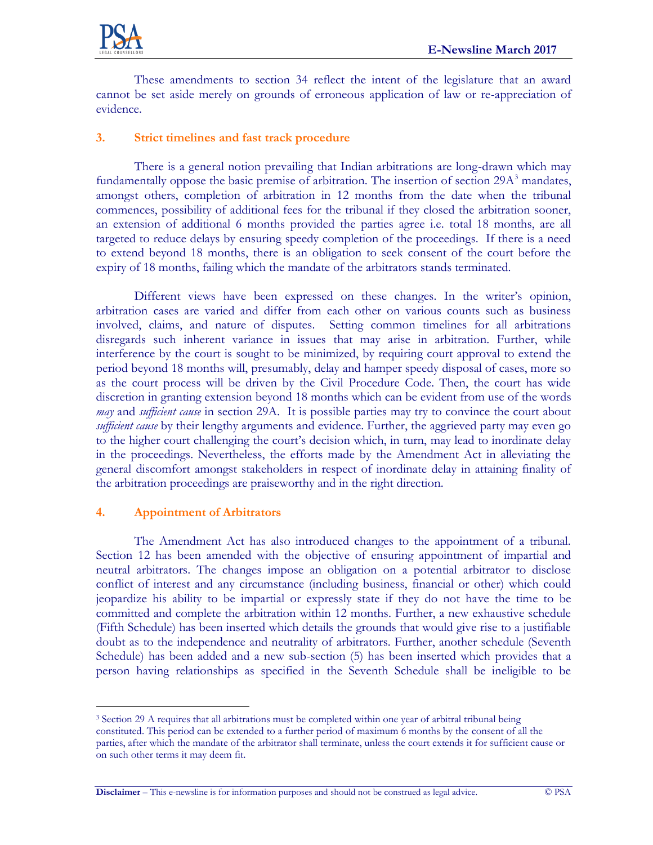

These amendments to section 34 reflect the intent of the legislature that an award cannot be set aside merely on grounds of erroneous application of law or re-appreciation of evidence.

## **3. Strict timelines and fast track procedure**

There is a general notion prevailing that Indian arbitrations are long-drawn which may fundamentally oppose the basic premise of arbitration. The insertion of section  $29A<sup>3</sup>$  mandates, amongst others, completion of arbitration in 12 months from the date when the tribunal commences, possibility of additional fees for the tribunal if they closed the arbitration sooner, an extension of additional 6 months provided the parties agree i.e. total 18 months, are all targeted to reduce delays by ensuring speedy completion of the proceedings. If there is a need to extend beyond 18 months, there is an obligation to seek consent of the court before the expiry of 18 months, failing which the mandate of the arbitrators stands terminated.

Different views have been expressed on these changes. In the writer's opinion, arbitration cases are varied and differ from each other on various counts such as business involved, claims, and nature of disputes. Setting common timelines for all arbitrations disregards such inherent variance in issues that may arise in arbitration. Further, while interference by the court is sought to be minimized, by requiring court approval to extend the period beyond 18 months will, presumably, delay and hamper speedy disposal of cases, more so as the court process will be driven by the Civil Procedure Code. Then, the court has wide discretion in granting extension beyond 18 months which can be evident from use of the words *may* and *sufficient cause* in section 29A. It is possible parties may try to convince the court about *sufficient cause* by their lengthy arguments and evidence. Further, the aggrieved party may even go to the higher court challenging the court's decision which, in turn, may lead to inordinate delay in the proceedings. Nevertheless, the efforts made by the Amendment Act in alleviating the general discomfort amongst stakeholders in respect of inordinate delay in attaining finality of the arbitration proceedings are praiseworthy and in the right direction.

#### **4. Appointment of Arbitrators**

 $\overline{a}$ 

The Amendment Act has also introduced changes to the appointment of a tribunal. Section 12 has been amended with the objective of ensuring appointment of impartial and neutral arbitrators. The changes impose an obligation on a potential arbitrator to disclose conflict of interest and any circumstance (including business, financial or other) which could jeopardize his ability to be impartial or expressly state if they do not have the time to be committed and complete the arbitration within 12 months. Further, a new exhaustive schedule (Fifth Schedule) has been inserted which details the grounds that would give rise to a justifiable doubt as to the independence and neutrality of arbitrators. Further, another schedule (Seventh Schedule) has been added and a new sub-section (5) has been inserted which provides that a person having relationships as specified in the Seventh Schedule shall be ineligible to be

<sup>&</sup>lt;sup>3</sup> Section 29 A requires that all arbitrations must be completed within one year of arbitral tribunal being constituted. This period can be extended to a further period of maximum 6 months by the consent of all the parties, after which the mandate of the arbitrator shall terminate, unless the court extends it for sufficient cause or on such other terms it may deem fit.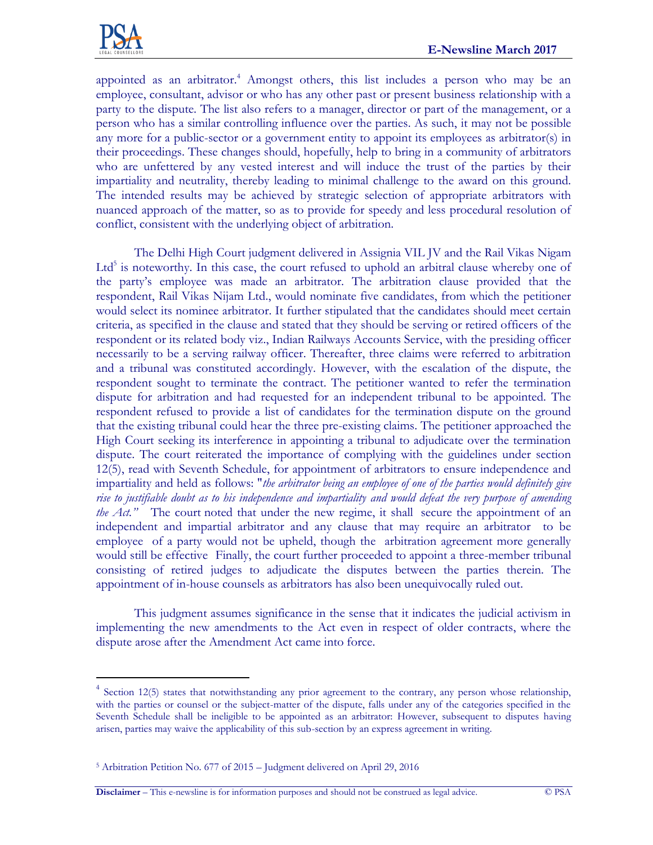

 $\overline{a}$ 

appointed as an arbitrator. <sup>4</sup> Amongst others, this list includes a person who may be an employee, consultant, advisor or who has any other past or present business relationship with a party to the dispute. The list also refers to a manager, director or part of the management, or a person who has a similar controlling influence over the parties. As such, it may not be possible any more for a public-sector or a government entity to appoint its employees as arbitrator(s) in their proceedings. These changes should, hopefully, help to bring in a community of arbitrators who are unfettered by any vested interest and will induce the trust of the parties by their impartiality and neutrality, thereby leading to minimal challenge to the award on this ground. The intended results may be achieved by strategic selection of appropriate arbitrators with nuanced approach of the matter, so as to provide for speedy and less procedural resolution of conflict, consistent with the underlying object of arbitration.

The Delhi High Court judgment delivered in Assignia VIL JV and the Rail Vikas Nigam Ltd<sup>5</sup> is noteworthy. In this case, the court refused to uphold an arbitral clause whereby one of the party's employee was made an arbitrator. The arbitration clause provided that the respondent, Rail Vikas Nijam Ltd., would nominate five candidates, from which the petitioner would select its nominee arbitrator. It further stipulated that the candidates should meet certain criteria, as specified in the clause and stated that they should be serving or retired officers of the respondent or its related body viz., Indian Railways Accounts Service, with the presiding officer necessarily to be a serving railway officer. Thereafter, three claims were referred to arbitration and a tribunal was constituted accordingly. However, with the escalation of the dispute, the respondent sought to terminate the contract. The petitioner wanted to refer the termination dispute for arbitration and had requested for an independent tribunal to be appointed. The respondent refused to provide a list of candidates for the termination dispute on the ground that the existing tribunal could hear the three pre-existing claims. The petitioner approached the High Court seeking its interference in appointing a tribunal to adjudicate over the termination dispute. The court reiterated the importance of complying with the guidelines under section 12(5), read with Seventh Schedule, for appointment of arbitrators to ensure independence and impartiality and held as follows: "*the arbitrator being an employee of one of the parties would definitely give rise to justifiable doubt as to his independence and impartiality and would defeat the very purpose of amending the Act.*" The court noted that under the new regime, it shall secure the appointment of an independent and impartial arbitrator and any clause that may require an arbitrator to be employee of a party would not be upheld, though the arbitration agreement more generally would still be effective Finally, the court further proceeded to appoint a three-member tribunal consisting of retired judges to adjudicate the disputes between the parties therein. The appointment of in-house counsels as arbitrators has also been unequivocally ruled out.

This judgment assumes significance in the sense that it indicates the judicial activism in implementing the new amendments to the Act even in respect of older contracts, where the dispute arose after the Amendment Act came into force.

**Disclaimer** – This e-newsline is for information purposes and should not be construed as legal advice. © PSA

<sup>&</sup>lt;sup>4</sup> Section 12(5) states that notwithstanding any prior agreement to the contrary, any person whose relationship, with the parties or counsel or the subject-matter of the dispute, falls under any of the categories specified in the Seventh Schedule shall be ineligible to be appointed as an arbitrator: However, subsequent to disputes having arisen, parties may waive the applicability of this sub-section by an express agreement in writing.

<sup>5</sup> Arbitration Petition No. 677 of 2015 – Judgment delivered on April 29, 2016